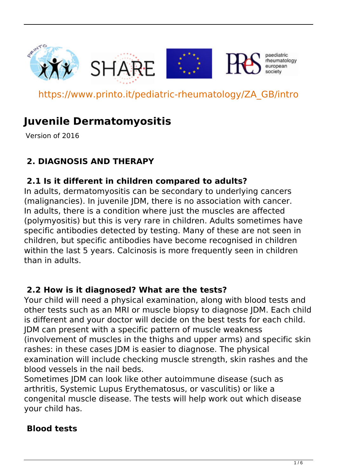







paediatric rheumatology european

https://www.printo.it/pediatric-rheumatology/ZA\_GB/intro

# **Juvenile Dermatomyositis**

Version of 2016

## **2. DIAGNOSIS AND THERAPY**

### **2.1 Is it different in children compared to adults?**

In adults, dermatomyositis can be secondary to underlying cancers (malignancies). In juvenile JDM, there is no association with cancer. In adults, there is a condition where just the muscles are affected (polymyositis) but this is very rare in children. Adults sometimes have specific antibodies detected by testing. Many of these are not seen in children, but specific antibodies have become recognised in children within the last 5 years. Calcinosis is more frequently seen in children than in adults.

#### **2.2 How is it diagnosed? What are the tests?**

Your child will need a physical examination, along with blood tests and other tests such as an MRI or muscle biopsy to diagnose JDM. Each child is different and your doctor will decide on the best tests for each child. JDM can present with a specific pattern of muscle weakness (involvement of muscles in the thighs and upper arms) and specific skin rashes: in these cases JDM is easier to diagnose. The physical examination will include checking muscle strength, skin rashes and the blood vessels in the nail beds.

Sometimes JDM can look like other autoimmune disease (such as arthritis, Systemic Lupus Erythematosus, or vasculitis) or like a congenital muscle disease. The tests will help work out which disease your child has.

#### **Blood tests**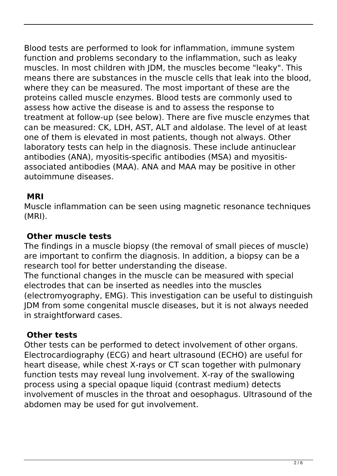Blood tests are performed to look for inflammation, immune system function and problems secondary to the inflammation, such as leaky muscles. In most children with JDM, the muscles become "leaky". This means there are substances in the muscle cells that leak into the blood, where they can be measured. The most important of these are the proteins called muscle enzymes. Blood tests are commonly used to assess how active the disease is and to assess the response to treatment at follow-up (see below). There are five muscle enzymes that can be measured: CK, LDH, AST, ALT and aldolase. The level of at least one of them is elevated in most patients, though not always. Other laboratory tests can help in the diagnosis. These include antinuclear antibodies (ANA), myositis-specific antibodies (MSA) and myositisassociated antibodies (MAA). ANA and MAA may be positive in other autoimmune diseases.

#### **MRI**

Muscle inflammation can be seen using magnetic resonance techniques (MRI).

#### **Other muscle tests**

The findings in a muscle biopsy (the removal of small pieces of muscle) are important to confirm the diagnosis. In addition, a biopsy can be a research tool for better understanding the disease.

The functional changes in the muscle can be measured with special electrodes that can be inserted as needles into the muscles (electromyography, EMG). This investigation can be useful to distinguish JDM from some congenital muscle diseases, but it is not always needed in straightforward cases.

#### **Other tests**

Other tests can be performed to detect involvement of other organs. Electrocardiography (ECG) and heart ultrasound (ECHO) are useful for heart disease, while chest X-rays or CT scan together with pulmonary function tests may reveal lung involvement. X-ray of the swallowing process using a special opaque liquid (contrast medium) detects involvement of muscles in the throat and oesophagus. Ultrasound of the abdomen may be used for gut involvement.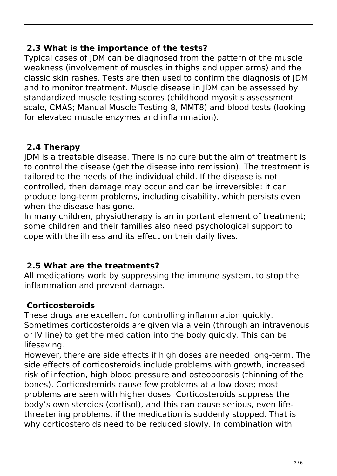#### **2.3 What is the importance of the tests?**

Typical cases of JDM can be diagnosed from the pattern of the muscle weakness (involvement of muscles in thighs and upper arms) and the classic skin rashes. Tests are then used to confirm the diagnosis of JDM and to monitor treatment. Muscle disease in JDM can be assessed by standardized muscle testing scores (childhood myositis assessment scale, CMAS; Manual Muscle Testing 8, MMT8) and blood tests (looking for elevated muscle enzymes and inflammation).

#### **2.4 Therapy**

JDM is a treatable disease. There is no cure but the aim of treatment is to control the disease (get the disease into remission). The treatment is tailored to the needs of the individual child. If the disease is not controlled, then damage may occur and can be irreversible: it can produce long-term problems, including disability, which persists even when the disease has gone.

In many children, physiotherapy is an important element of treatment; some children and their families also need psychological support to cope with the illness and its effect on their daily lives.

#### **2.5 What are the treatments?**

All medications work by suppressing the immune system, to stop the inflammation and prevent damage.

#### **Corticosteroids**

These drugs are excellent for controlling inflammation quickly. Sometimes corticosteroids are given via a vein (through an intravenous or IV line) to get the medication into the body quickly. This can be lifesaving.

However, there are side effects if high doses are needed long-term. The side effects of corticosteroids include problems with growth, increased risk of infection, high blood pressure and osteoporosis (thinning of the bones). Corticosteroids cause few problems at a low dose; most problems are seen with higher doses. Corticosteroids suppress the body's own steroids (cortisol), and this can cause serious, even lifethreatening problems, if the medication is suddenly stopped. That is why corticosteroids need to be reduced slowly. In combination with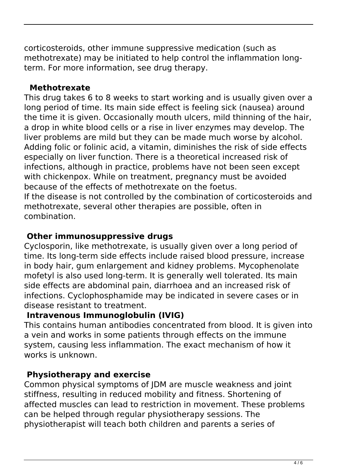corticosteroids, other immune suppressive medication (such as methotrexate) may be initiated to help control the inflammation longterm. For more information, see drug therapy.

#### **Methotrexate**

This drug takes 6 to 8 weeks to start working and is usually given over a long period of time. Its main side effect is feeling sick (nausea) around the time it is given. Occasionally mouth ulcers, mild thinning of the hair, a drop in white blood cells or a rise in liver enzymes may develop. The liver problems are mild but they can be made much worse by alcohol. Adding folic or folinic acid, a vitamin, diminishes the risk of side effects especially on liver function. There is a theoretical increased risk of infections, although in practice, problems have not been seen except with chickenpox. While on treatment, pregnancy must be avoided because of the effects of methotrexate on the foetus. If the disease is not controlled by the combination of corticosteroids and methotrexate, several other therapies are possible, often in combination.

#### **Other immunosuppressive drugs**

Cyclosporin, like methotrexate, is usually given over a long period of time. Its long-term side effects include raised blood pressure, increase in body hair, gum enlargement and kidney problems. Mycophenolate mofetyl is also used long-term. It is generally well tolerated. Its main side effects are abdominal pain, diarrhoea and an increased risk of infections. Cyclophosphamide may be indicated in severe cases or in disease resistant to treatment.

### **Intravenous Immunoglobulin (IVIG)**

This contains human antibodies concentrated from blood. It is given into a vein and works in some patients through effects on the immune system, causing less inflammation. The exact mechanism of how it works is unknown.

### **Physiotherapy and exercise**

Common physical symptoms of JDM are muscle weakness and joint stiffness, resulting in reduced mobility and fitness. Shortening of affected muscles can lead to restriction in movement. These problems can be helped through regular physiotherapy sessions. The physiotherapist will teach both children and parents a series of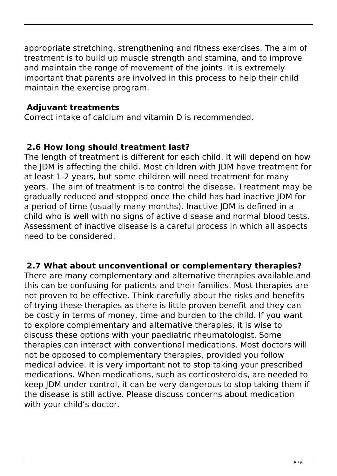appropriate stretching, strengthening and fitness exercises. The aim of treatment is to build up muscle strength and stamina, and to improve and maintain the range of movement of the joints. It is extremely important that parents are involved in this process to help their child maintain the exercise program.

#### **Adjuvant treatments**

Correct intake of calcium and vitamin D is recommended.

#### **2.6 How long should treatment last?**

The length of treatment is different for each child. It will depend on how the JDM is affecting the child. Most children with JDM have treatment for at least 1-2 years, but some children will need treatment for many years. The aim of treatment is to control the disease. Treatment may be gradually reduced and stopped once the child has had inactive JDM for a period of time (usually many months). Inactive JDM is defined in a child who is well with no signs of active disease and normal blood tests. Assessment of inactive disease is a careful process in which all aspects need to be considered.

#### **2.7 What about unconventional or complementary therapies?**

There are many complementary and alternative therapies available and this can be confusing for patients and their families. Most therapies are not proven to be effective. Think carefully about the risks and benefits of trying these therapies as there is little proven benefit and they can be costly in terms of money, time and burden to the child. If you want to explore complementary and alternative therapies, it is wise to discuss these options with your paediatric rheumatologist. Some therapies can interact with conventional medications. Most doctors will not be opposed to complementary therapies, provided you follow medical advice. It is very important not to stop taking your prescribed medications. When medications, such as corticosteroids, are needed to keep JDM under control, it can be very dangerous to stop taking them if the disease is still active. Please discuss concerns about medication with your child's doctor.